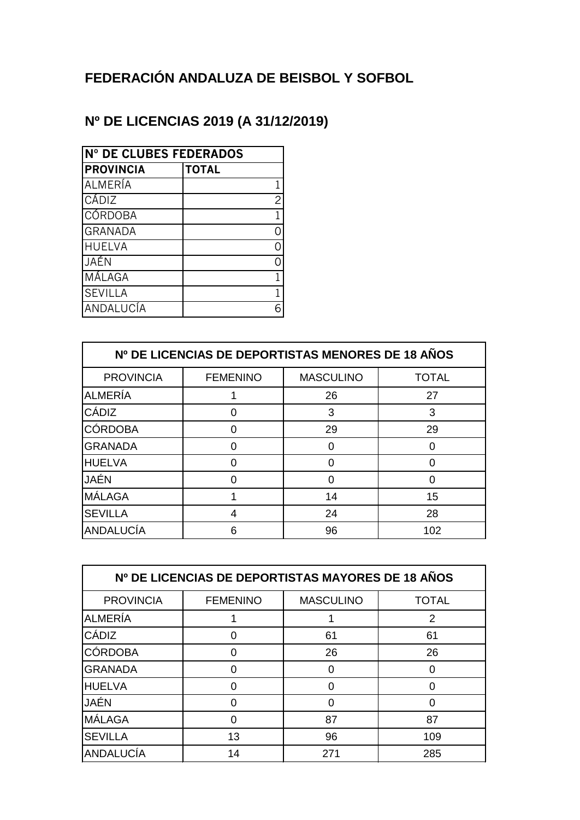## **FEDERACIÓN ANDALUZA DE BEISBOL Y SOFBOL**

## **Nº DE LICENCIAS 2019 (A 31/12/2019)**

| Nº DE CLUBES FEDERADOS |                |  |
|------------------------|----------------|--|
| <b>PROVINCIA</b>       | <b>TOTAL</b>   |  |
| ALMERÍA                | 1              |  |
| CÁDIZ                  | $\overline{c}$ |  |
| CÓRDOBA                | 1              |  |
| <b>GRANADA</b>         |                |  |
| <b>HUELVA</b>          |                |  |
| JAÉN                   |                |  |
| MÁLAGA                 | 1              |  |
| <b>SEVILLA</b>         |                |  |
| ANDALUCÍA              |                |  |

| Nº DE LICENCIAS DE DEPORTISTAS MENORES DE 18 AÑOS |                 |                  |              |
|---------------------------------------------------|-----------------|------------------|--------------|
| <b>PROVINCIA</b>                                  | <b>FEMENINO</b> | <b>MASCULINO</b> | <b>TOTAL</b> |
| <b>ALMERÍA</b>                                    |                 | 26               | 27           |
| CÁDIZ                                             |                 | 3                | 3            |
| <b>CÓRDOBA</b>                                    |                 | 29               | 29           |
| <b>GRANADA</b>                                    |                 | O                |              |
| <b>HUELVA</b>                                     | O               | O                |              |
| JAÉN                                              |                 | O                |              |
| MÁLAGA                                            |                 | 14               | 15           |
| <b>SEVILLA</b>                                    | 4               | 24               | 28           |
| ANDALUCÍA                                         | 6               | 96               | 102          |

| Nº DE LICENCIAS DE DEPORTISTAS MAYORES DE 18 AÑOS |                 |                  |              |
|---------------------------------------------------|-----------------|------------------|--------------|
| <b>PROVINCIA</b>                                  | <b>FEMENINO</b> | <b>MASCULINO</b> | <b>TOTAL</b> |
| <b>ALMERÍA</b>                                    |                 |                  | 2            |
| CÁDIZ                                             |                 | 61               | 61           |
| <b>CÓRDOBA</b>                                    | ი               | 26               | 26           |
| <b>GRANADA</b>                                    | ი               | 0                |              |
| <b>HUELVA</b>                                     |                 | O                |              |
| <b>JAÉN</b>                                       |                 |                  |              |
| MÁLAGA                                            | O               | 87               | 87           |
| <b>SEVILLA</b>                                    | 13              | 96               | 109          |
| ANDALUCÍA                                         | 14              | 271              | 285          |